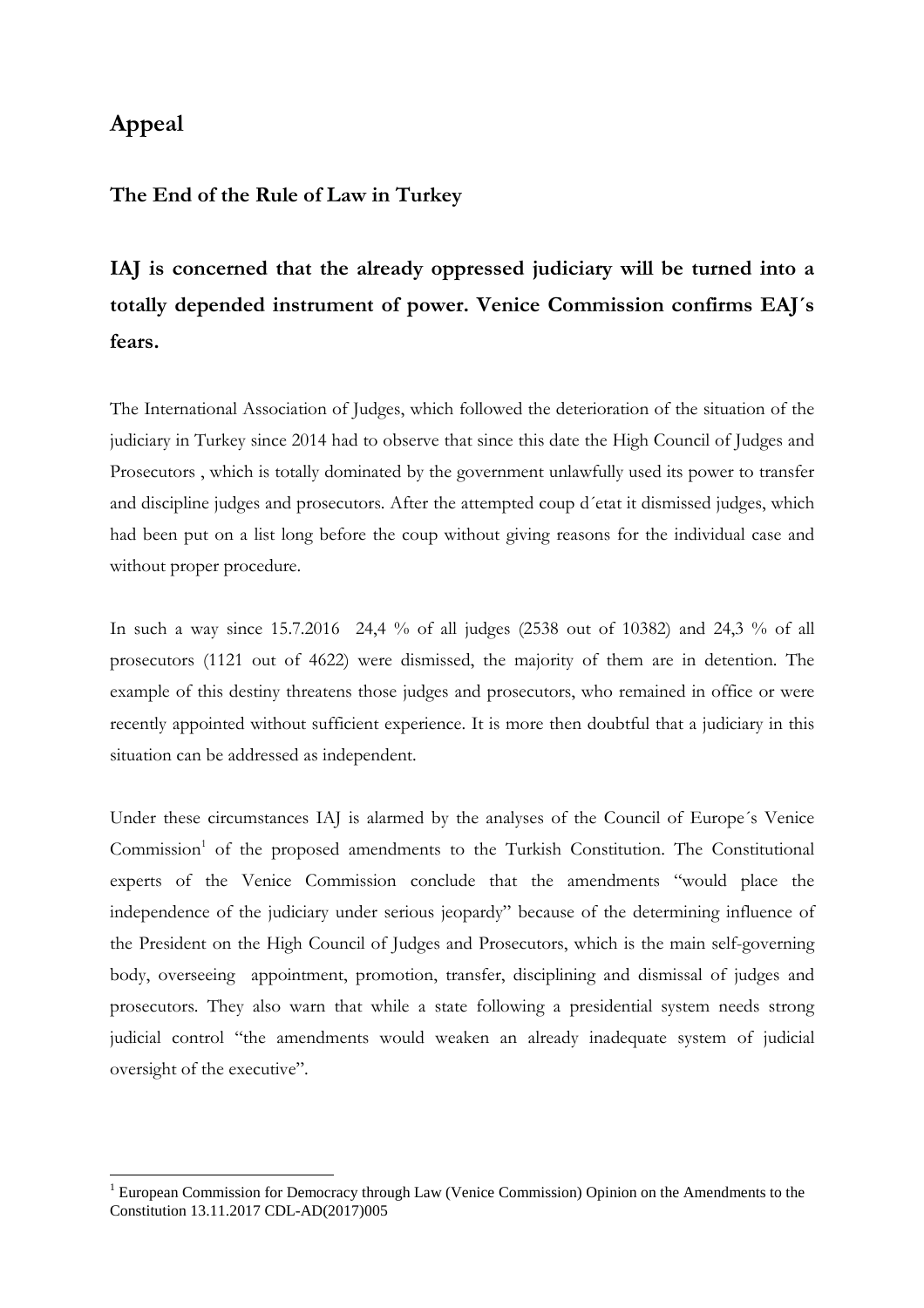## **Appeal**

 $\overline{a}$ 

## **The End of the Rule of Law in Turkey**

## **IAJ is concerned that the already oppressed judiciary will be turned into a totally depended instrument of power. Venice Commission confirms EAJ´s fears.**

The International Association of Judges, which followed the deterioration of the situation of the judiciary in Turkey since 2014 had to observe that since this date the High Council of Judges and Prosecutors , which is totally dominated by the government unlawfully used its power to transfer and discipline judges and prosecutors. After the attempted coup d´etat it dismissed judges, which had been put on a list long before the coup without giving reasons for the individual case and without proper procedure.

In such a way since 15.7.2016 24,4 % of all judges (2538 out of 10382) and 24,3 % of all prosecutors (1121 out of 4622) were dismissed, the majority of them are in detention. The example of this destiny threatens those judges and prosecutors, who remained in office or were recently appointed without sufficient experience. It is more then doubtful that a judiciary in this situation can be addressed as independent.

Under these circumstances IAJ is alarmed by the analyses of the Council of Europe´s Venice Commission<sup>1</sup> of the proposed amendments to the Turkish Constitution. The Constitutional experts of the Venice Commission conclude that the amendments "would place the independence of the judiciary under serious jeopardy" because of the determining influence of the President on the High Council of Judges and Prosecutors, which is the main self-governing body, overseeing appointment, promotion, transfer, disciplining and dismissal of judges and prosecutors. They also warn that while a state following a presidential system needs strong judicial control "the amendments would weaken an already inadequate system of judicial oversight of the executive".

<sup>&</sup>lt;sup>1</sup> European Commission for Democracy through Law (Venice Commission) Opinion on the Amendments to the Constitution 13.11.2017 CDL-AD(2017)005